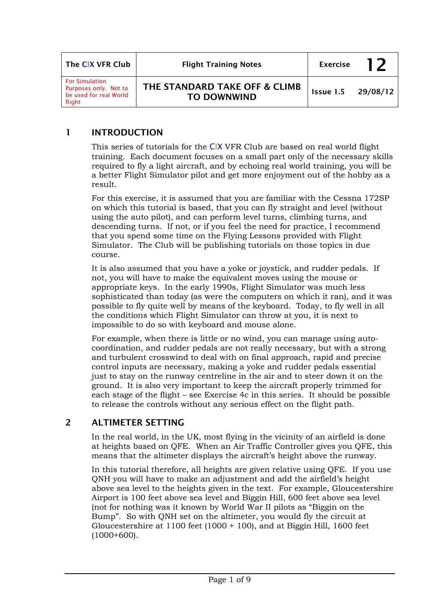| The CIX VFR Club                                                                   | <b>Flight Training Notes</b>                        | <b>Exercise</b>    | 12 |
|------------------------------------------------------------------------------------|-----------------------------------------------------|--------------------|----|
| <b>For Simulation</b><br>Purposes only. Not to<br>be used for real World<br>flight | THE STANDARD TAKE OFF & CLIMB<br><b>TO DOWNWIND</b> | Issue 1.5 29/08/12 |    |

# 1 INTRODUCTION

This series of tutorials for the CIX VFR Club are based on real world flight training. Each document focuses on a small part only of the necessary skills required to fly a light aircraft, and by echoing real world training, you will be a better Flight Simulator pilot and get more enjoyment out of the hobby as a result.

For this exercise, it is assumed that you are familiar with the Cessna 172SP on which this tutorial is based, that you can fly straight and level (without using the auto pilot), and can perform level turns, climbing turns, and descending turns. If not, or if you feel the need for practice, I recommend that you spend some time on the Flying Lessons provided with Flight Simulator. The Club will be publishing tutorials on those topics in due course.

It is also assumed that you have a yoke or joystick, and rudder pedals. If not, you will have to make the equivalent moves using the mouse or appropriate keys. In the early 1990s, Flight Simulator was much less sophisticated than today (as were the computers on which it ran), and it was possible to fly quite well by means of the keyboard. Today, to fly well in all the conditions which Flight Simulator can throw at you, it is next to impossible to do so with keyboard and mouse alone.

For example, when there is little or no wind, you can manage using autocoordination, and rudder pedals are not really necessary, but with a strong and turbulent crosswind to deal with on final approach, rapid and precise control inputs are necessary, making a yoke and rudder pedals essential just to stay on the runway centreline in the air and to steer down it on the ground. It is also very important to keep the aircraft properly trimmed for each stage of the flight – see Exercise 4c in this series. It should be possible to release the controls without any serious effect on the flight path.

## 2 ALTIMETER SETTING

In the real world, in the UK, most flying in the vicinity of an airfield is done at heights based on QFE. When an Air Traffic Controller gives you QFE, this means that the altimeter displays the aircraft's height above the runway.

In this tutorial therefore, all heights are given relative using QFE. If you use QNH you will have to make an adjustment and add the airfield's height above sea level to the heights given in the text. For example, Gloucestershire Airport is 100 feet above sea level and Biggin Hill, 600 feet above sea level (not for nothing was it known by World War II pilots as "Biggin on the Bump". So with QNH set on the altimeter, you would fly the circuit at Gloucestershire at 1100 feet (1000 + 100), and at Biggin Hill, 1600 feet  $(1000+600)$ .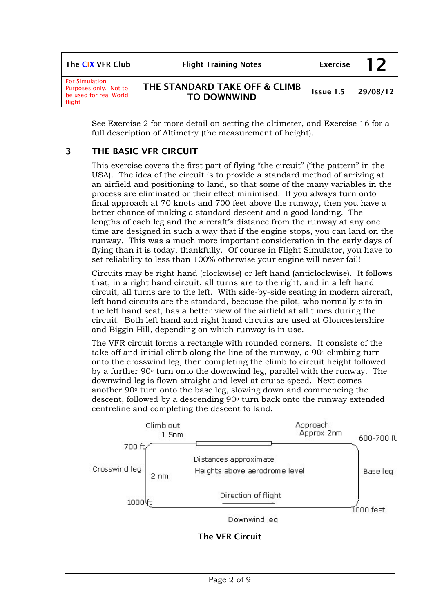| The CIX VFR Club                                                                   | <b>Flight Training Notes</b>                        | <b>Exercise</b>    | 1 フ |
|------------------------------------------------------------------------------------|-----------------------------------------------------|--------------------|-----|
| <b>For Simulation</b><br>Purposes only. Not to<br>be used for real World<br>flight | THE STANDARD TAKE OFF & CLIMB<br><b>TO DOWNWIND</b> | Issue 1.5 29/08/12 |     |

See Exercise 2 for more detail on setting the altimeter, and Exercise 16 for a full description of Altimetry (the measurement of height).

# 3 THE BASIC VFR CIRCUIT

This exercise covers the first part of flying "the circuit" ("the pattern" in the USA). The idea of the circuit is to provide a standard method of arriving at an airfield and positioning to land, so that some of the many variables in the process are eliminated or their effect minimised. If you always turn onto final approach at 70 knots and 700 feet above the runway, then you have a better chance of making a standard descent and a good landing. The lengths of each leg and the aircraft's distance from the runway at any one time are designed in such a way that if the engine stops, you can land on the runway. This was a much more important consideration in the early days of flying than it is today, thankfully. Of course in Flight Simulator, you have to set reliability to less than 100% otherwise your engine will never fail!

Circuits may be right hand (clockwise) or left hand (anticlockwise). It follows that, in a right hand circuit, all turns are to the right, and in a left hand circuit, all turns are to the left. With side-by-side seating in modern aircraft, left hand circuits are the standard, because the pilot, who normally sits in the left hand seat, has a better view of the airfield at all times during the circuit. Both left hand and right hand circuits are used at Gloucestershire and Biggin Hill, depending on which runway is in use.

The VFR circuit forms a rectangle with rounded corners. It consists of the take off and initial climb along the line of the runway, a 90o climbing turn onto the crosswind leg, then completing the climb to circuit height followed by a further 90o turn onto the downwind leg, parallel with the runway. The downwind leg is flown straight and level at cruise speed. Next comes another 90o turn onto the base leg, slowing down and commencing the descent, followed by a descending 90<sup>°</sup> turn back onto the runway extended centreline and completing the descent to land.



The VFR Circuit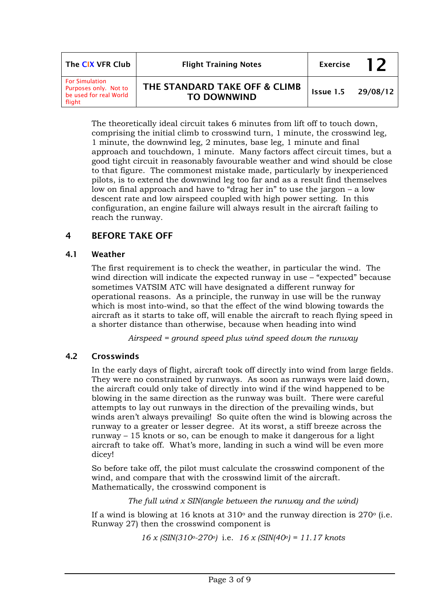| The CIX VFR Club                                                                   | <b>Flight Training Notes</b>                        |           | 12       |
|------------------------------------------------------------------------------------|-----------------------------------------------------|-----------|----------|
| <b>For Simulation</b><br>Purposes only. Not to<br>be used for real World<br>flight | THE STANDARD TAKE OFF & CLIMB<br><b>TO DOWNWIND</b> | Issue 1.5 | 29/08/12 |

The theoretically ideal circuit takes 6 minutes from lift off to touch down, comprising the initial climb to crosswind turn, 1 minute, the crosswind leg, 1 minute, the downwind leg, 2 minutes, base leg, 1 minute and final approach and touchdown, 1 minute. Many factors affect circuit times, but a good tight circuit in reasonably favourable weather and wind should be close to that figure. The commonest mistake made, particularly by inexperienced pilots, is to extend the downwind leg too far and as a result find themselves low on final approach and have to "drag her in" to use the jargon – a low descent rate and low airspeed coupled with high power setting. In this configuration, an engine failure will always result in the aircraft failing to reach the runway.

## 4 BEFORE TAKE OFF

## 4.1 Weather

The first requirement is to check the weather, in particular the wind. The wind direction will indicate the expected runway in use – "expected" because sometimes VATSIM ATC will have designated a different runway for operational reasons. As a principle, the runway in use will be the runway which is most into-wind, so that the effect of the wind blowing towards the aircraft as it starts to take off, will enable the aircraft to reach flying speed in a shorter distance than otherwise, because when heading into wind

*Airspeed = ground speed plus wind speed down the runway* 

## 4.2 Crosswinds

In the early days of flight, aircraft took off directly into wind from large fields. They were no constrained by runways. As soon as runways were laid down, the aircraft could only take of directly into wind if the wind happened to be blowing in the same direction as the runway was built. There were careful attempts to lay out runways in the direction of the prevailing winds, but winds aren't always prevailing! So quite often the wind is blowing across the runway to a greater or lesser degree. At its worst, a stiff breeze across the runway – 15 knots or so, can be enough to make it dangerous for a light aircraft to take off. What's more, landing in such a wind will be even more dicey!

So before take off, the pilot must calculate the crosswind component of the wind, and compare that with the crosswind limit of the aircraft. Mathematically, the crosswind component is

*The full wind x SIN(angle between the runway and the wind)* 

If a wind is blowing at 16 knots at  $310^{\circ}$  and the runway direction is  $270^{\circ}$  (i.e. Runway 27) then the crosswind component is

*16 x (SIN(310o-270o)* i.e. *16 x (SIN(40o) = 11.17 knots*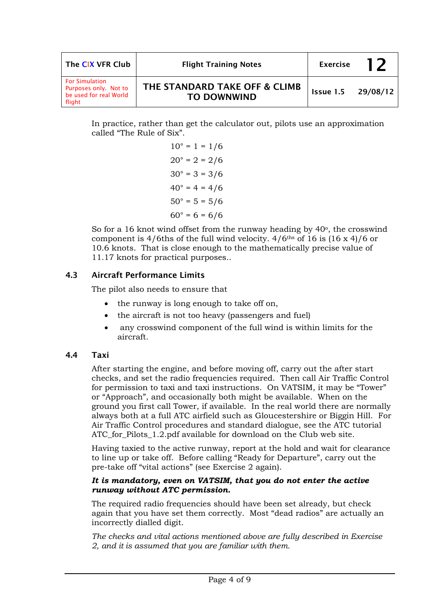| The CIX VFR Club                                                                   | <b>Flight Training Notes</b>                        |                    | l 7 |
|------------------------------------------------------------------------------------|-----------------------------------------------------|--------------------|-----|
| <b>For Simulation</b><br>Purposes only. Not to<br>be used for real World<br>flight | THE STANDARD TAKE OFF & CLIMB<br><b>TO DOWNWIND</b> | Issue 1.5 29/08/12 |     |

In practice, rather than get the calculator out, pilots use an approximation called "The Rule of Six".

> $10^{\circ} = 1 = 1/6$  $20^{\circ} = 2 = 2/6$  $30^\circ = 3 = 3/6$  $40^{\circ} = 4 = 4/6$  $50^\circ = 5 = 5/6$  $60^{\circ} = 6 = 6/6$

So for a 16 knot wind offset from the runway heading by  $40^{\circ}$ , the crosswind component is  $4/6$ ths of the full wind velocity.  $4/6$ <sup>ths</sup> of 16 is  $(16 \times 4)/6$  or 10.6 knots. That is close enough to the mathematically precise value of 11.17 knots for practical purposes..

## 4.3 Aircraft Performance Limits

The pilot also needs to ensure that

- the runway is long enough to take off on,
- the aircraft is not too heavy (passengers and fuel)
- any crosswind component of the full wind is within limits for the aircraft.

### 4.4 Taxi

After starting the engine, and before moving off, carry out the after start checks, and set the radio frequencies required. Then call Air Traffic Control for permission to taxi and taxi instructions. On VATSIM, it may be "Tower" or "Approach", and occasionally both might be available. When on the ground you first call Tower, if available. In the real world there are normally always both at a full ATC airfield such as Gloucestershire or Biggin Hill. For Air Traffic Control procedures and standard dialogue, see the ATC tutorial ATC for Pilots 1.2.pdf available for download on the Club web site.

Having taxied to the active runway, report at the hold and wait for clearance to line up or take off. Before calling "Ready for Departure", carry out the pre-take off "vital actions" (see Exercise 2 again).

#### *It is mandatory, even on VATSIM, that you do not enter the active runway without ATC permission.*

The required radio frequencies should have been set already, but check again that you have set them correctly. Most "dead radios" are actually an incorrectly dialled digit.

*The checks and vital actions mentioned above are fully described in Exercise 2, and it is assumed that you are familiar with them.*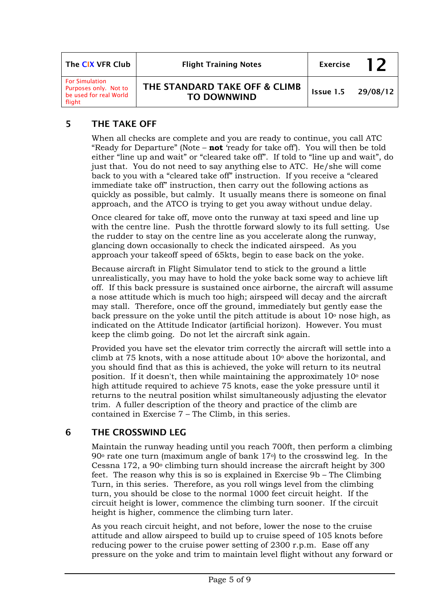| The CIX VFR Club                                                                   | <b>Flight Training Notes</b>                        | <b>Exercise</b> | 12       |
|------------------------------------------------------------------------------------|-----------------------------------------------------|-----------------|----------|
| <b>For Simulation</b><br>Purposes only. Not to<br>be used for real World<br>flight | THE STANDARD TAKE OFF & CLIMB<br><b>TO DOWNWIND</b> | Issue 1.5       | 29/08/12 |

# 5 THE TAKE OFF

When all checks are complete and you are ready to continue, you call ATC "Ready for Departure" (Note – **not** 'ready for take off'). You will then be told either "line up and wait" or "cleared take off". If told to "line up and wait", do just that. You do not need to say anything else to ATC. He/she will come back to you with a "cleared take off" instruction. If you receive a "cleared immediate take off" instruction, then carry out the following actions as quickly as possible, but calmly. It usually means there is someone on final approach, and the ATCO is trying to get you away without undue delay.

Once cleared for take off, move onto the runway at taxi speed and line up with the centre line. Push the throttle forward slowly to its full setting. Use the rudder to stay on the centre line as you accelerate along the runway, glancing down occasionally to check the indicated airspeed. As you approach your takeoff speed of 65kts, begin to ease back on the yoke.

Because aircraft in Flight Simulator tend to stick to the ground a little unrealistically, you may have to hold the yoke back some way to achieve lift off. If this back pressure is sustained once airborne, the aircraft will assume a nose attitude which is much too high; airspeed will decay and the aircraft may stall. Therefore, once off the ground, immediately but gently ease the back pressure on the voke until the pitch attitude is about  $10^{\circ}$  nose high, as indicated on the Attitude Indicator (artificial horizon). However. You must keep the climb going. Do not let the aircraft sink again.

Provided you have set the elevator trim correctly the aircraft will settle into a climb at 75 knots, with a nose attitude about  $10<sup>o</sup>$  above the horizontal, and you should find that as this is achieved, the yoke will return to its neutral position. If it doesn't, then while maintaining the approximately  $10<sup>o</sup>$  nose high attitude required to achieve 75 knots, ease the yoke pressure until it returns to the neutral position whilst simultaneously adjusting the elevator trim. A fuller description of the theory and practice of the climb are contained in Exercise 7 – The Climb, in this series.

## 6 THE CROSSWIND LEG

Maintain the runway heading until you reach 700ft, then perform a climbing  $90^\circ$  rate one turn (maximum angle of bank  $17^\circ$ ) to the crosswind leg. In the Cessna  $172$ , a  $90^{\circ}$  climbing turn should increase the aircraft height by 300 feet. The reason why this is so is explained in Exercise 9b – The Climbing Turn, in this series. Therefore, as you roll wings level from the climbing turn, you should be close to the normal 1000 feet circuit height. If the circuit height is lower, commence the climbing turn sooner. If the circuit height is higher, commence the climbing turn later.

As you reach circuit height, and not before, lower the nose to the cruise attitude and allow airspeed to build up to cruise speed of 105 knots before reducing power to the cruise power setting of 2300 r.p.m. Ease off any pressure on the yoke and trim to maintain level flight without any forward or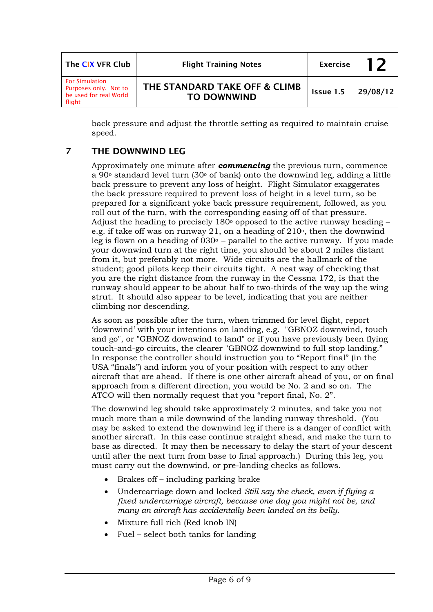| The CIX VFR Club                                                                   | <b>Flight Training Notes</b>                        | <b>Exercise</b> | 12       |
|------------------------------------------------------------------------------------|-----------------------------------------------------|-----------------|----------|
| <b>For Simulation</b><br>Purposes only. Not to<br>be used for real World<br>flight | THE STANDARD TAKE OFF & CLIMB<br><b>TO DOWNWIND</b> | Issue 1.5       | 29/08/12 |

back pressure and adjust the throttle setting as required to maintain cruise speed.

# 7 THE DOWNWIND LEG

Approximately one minute after *commencing* the previous turn, commence a 90 $\degree$  standard level turn (30 $\degree$  of bank) onto the downwind leg, adding a little back pressure to prevent any loss of height. Flight Simulator exaggerates the back pressure required to prevent loss of height in a level turn, so be prepared for a significant yoke back pressure requirement, followed, as you roll out of the turn, with the corresponding easing off of that pressure. Adjust the heading to precisely  $180^\circ$  opposed to the active runway heading – e.g. if take off was on runway 21, on a heading of  $210^{\circ}$ , then the downwind leg is flown on a heading of  $030^\circ$  – parallel to the active runway. If you made your downwind turn at the right time, you should be about 2 miles distant from it, but preferably not more. Wide circuits are the hallmark of the student; good pilots keep their circuits tight. A neat way of checking that you are the right distance from the runway in the Cessna 172, is that the runway should appear to be about half to two-thirds of the way up the wing strut. It should also appear to be level, indicating that you are neither climbing nor descending.

As soon as possible after the turn, when trimmed for level flight, report 'downwind' with your intentions on landing, e.g. "GBNOZ downwind, touch and go", or "GBNOZ downwind to land" or if you have previously been flying touch-and-go circuits, the clearer "GBNOZ downwind to full stop landing." In response the controller should instruction you to "Report final" (in the USA "finals") and inform you of your position with respect to any other aircraft that are ahead. If there is one other aircraft ahead of you, or on final approach from a different direction, you would be No. 2 and so on. The ATCO will then normally request that you "report final, No. 2".

The downwind leg should take approximately 2 minutes, and take you not much more than a mile downwind of the landing runway threshold. (You may be asked to extend the downwind leg if there is a danger of conflict with another aircraft. In this case continue straight ahead, and make the turn to base as directed. It may then be necessary to delay the start of your descent until after the next turn from base to final approach.) During this leg, you must carry out the downwind, or pre-landing checks as follows.

- Brakes off including parking brake
- Undercarriage down and locked *Still say the check, even if flying a fixed undercarriage aircraft, because one day you might not be, and many an aircraft has accidentally been landed on its belly.*
- Mixture full rich (Red knob IN)
- Fuel select both tanks for landing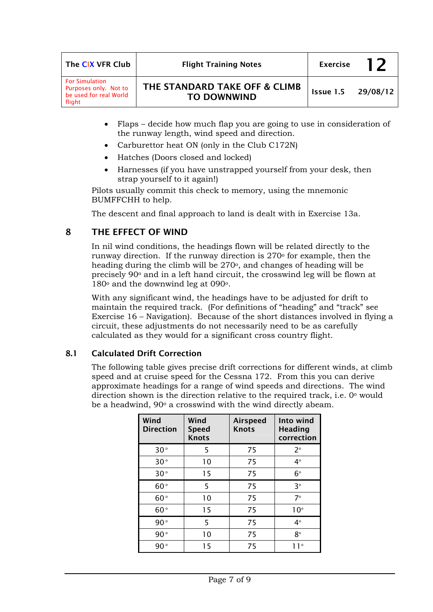| The CIX VFR Club                                                                   | <b>Flight Training Notes</b>                        |           | 12       |
|------------------------------------------------------------------------------------|-----------------------------------------------------|-----------|----------|
| <b>For Simulation</b><br>Purposes only. Not to<br>be used for real World<br>flight | THE STANDARD TAKE OFF & CLIMB<br><b>TO DOWNWIND</b> | Issue 1.5 | 29/08/12 |

- Flaps decide how much flap you are going to use in consideration of the runway length, wind speed and direction.
- Carburettor heat ON (only in the Club C172N)
- Hatches (Doors closed and locked)
- Harnesses (if you have unstrapped yourself from your desk, then strap yourself to it again!)

Pilots usually commit this check to memory, using the mnemonic BUMFFCHH to help.

The descent and final approach to land is dealt with in Exercise 13a.

### 8 THE EFFECT OF WIND

In nil wind conditions, the headings flown will be related directly to the runway direction. If the runway direction is  $270°$  for example, then the heading during the climb will be 270°, and changes of heading will be precisely 90o and in a left hand circuit, the crosswind leg will be flown at  $180^\circ$  and the downwind leg at 090 $^\circ$ .

With any significant wind, the headings have to be adjusted for drift to maintain the required track. (For definitions of "heading" and "track" see Exercise 16 – Navigation). Because of the short distances involved in flying a circuit, these adjustments do not necessarily need to be as carefully calculated as they would for a significant cross country flight.

### 8.1 Calculated Drift Correction

The following table gives precise drift corrections for different winds, at climb speed and at cruise speed for the Cessna 172. From this you can derive approximate headings for a range of wind speeds and directions. The wind direction shown is the direction relative to the required track, i.e. 0o would be a headwind,  $90^\circ$  a crosswind with the wind directly abeam.

| Wind<br><b>Direction</b> | Wind<br><b>Speed</b><br><b>Knots</b> | <b>Airspeed</b><br><b>Knots</b> | Into wind<br><b>Heading</b><br>correction |
|--------------------------|--------------------------------------|---------------------------------|-------------------------------------------|
| 30°                      | 5                                    | 75                              | $2^{\circ}$                               |
| 30°                      | 10                                   | 75                              | $4^{\circ}$                               |
| 30°                      | 15                                   | 75                              | $6^{\circ}$                               |
| 60°                      | 5                                    | 75                              | $3^{\circ}$                               |
| 60°                      | 10                                   | 75                              | $7^\circ$                                 |
| 60°                      | 15                                   | 75                              | $10^{\circ}$                              |
| 90°                      | 5                                    | 75                              | $4^{\circ}$                               |
| 90°                      | 10                                   | 75                              | $8^{\circ}$                               |
| $90^{\circ}$             | 15                                   | 75                              | 1 1 °                                     |